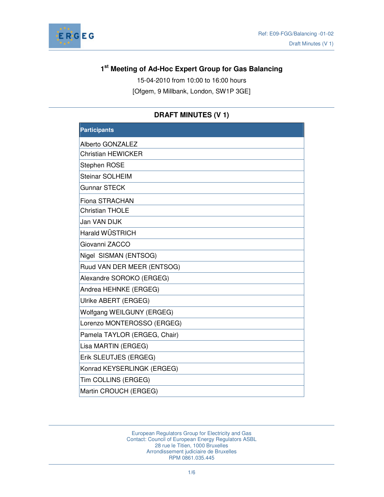

# **1 st Meeting of Ad-Hoc Expert Group for Gas Balancing**

15-04-2010 from 10:00 to 16:00 hours

[Ofgem, 9 Millbank, London, SW1P 3GE]

# **DRAFT MINUTES (V 1)**

| <b>Participants</b>          |
|------------------------------|
| Alberto GONZALEZ             |
| <b>Christian HEWICKER</b>    |
| <b>Stephen ROSE</b>          |
| <b>Steinar SOLHEIM</b>       |
| Gunnar STECK                 |
| <b>Fiona STRACHAN</b>        |
| <b>Christian THOLE</b>       |
| <b>Jan VAN DIJK</b>          |
| Harald WÜSTRICH              |
| Giovanni ZACCO               |
| Nigel SISMAN (ENTSOG)        |
| Ruud VAN DER MEER (ENTSOG)   |
| Alexandre SOROKO (ERGEG)     |
| Andrea HEHNKE (ERGEG)        |
| Ulrike ABERT (ERGEG)         |
| Wolfgang WEILGUNY (ERGEG)    |
| Lorenzo MONTEROSSO (ERGEG)   |
| Pamela TAYLOR (ERGEG, Chair) |
| Lisa MARTIN (ERGEG)          |
| Erik SLEUTJES (ERGEG)        |
| Konrad KEYSERLINGK (ERGEG)   |
| Tim COLLINS (ERGEG)          |
| Martin CROUCH (ERGEG)        |

European Regulators Group for Electricity and Gas Contact: Council of European Energy Regulators ASBL 28 rue le Titien, 1000 Bruxelles Arrondissement judiciaire de Bruxelles RPM 0861.035.445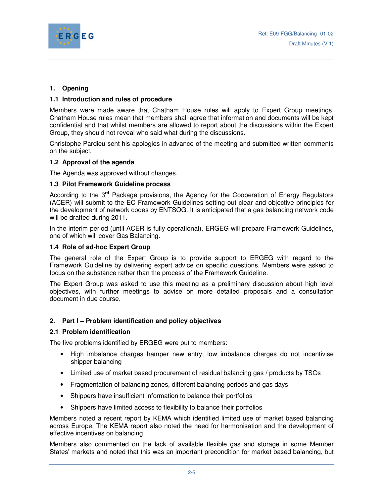

## **1. Opening**

### **1.1 Introduction and rules of procedure**

Members were made aware that Chatham House rules will apply to Expert Group meetings. Chatham House rules mean that members shall agree that information and documents will be kept confidential and that whilst members are allowed to report about the discussions within the Expert Group, they should not reveal who said what during the discussions.

Christophe Pardieu sent his apologies in advance of the meeting and submitted written comments on the subject.

## **1.2 Approval of the agenda**

The Agenda was approved without changes.

#### **1.3 Pilot Framework Guideline process**

According to the 3**rd** Package provisions, the Agency for the Cooperation of Energy Regulators (ACER) will submit to the EC Framework Guidelines setting out clear and objective principles for the development of network codes by ENTSOG. It is anticipated that a gas balancing network code will be drafted during 2011.

In the interim period (until ACER is fully operational), ERGEG will prepare Framework Guidelines, one of which will cover Gas Balancing.

#### **1.4 Role of ad-hoc Expert Group**

The general role of the Expert Group is to provide support to ERGEG with regard to the Framework Guideline by delivering expert advice on specific questions. Members were asked to focus on the substance rather than the process of the Framework Guideline.

The Expert Group was asked to use this meeting as a preliminary discussion about high level objectives, with further meetings to advise on more detailed proposals and a consultation document in due course.

## **2. Part I – Problem identification and policy objectives**

#### **2.1 Problem identification**

The five problems identified by ERGEG were put to members:

- High imbalance charges hamper new entry; low imbalance charges do not incentivise shipper balancing
- Limited use of market based procurement of residual balancing gas / products by TSOs
- Fragmentation of balancing zones, different balancing periods and gas days
- Shippers have insufficient information to balance their portfolios
- Shippers have limited access to flexibility to balance their portfolios

Members noted a recent report by KEMA which identified limited use of market based balancing across Europe. The KEMA report also noted the need for harmonisation and the development of effective incentives on balancing.

Members also commented on the lack of available flexible gas and storage in some Member States' markets and noted that this was an important precondition for market based balancing, but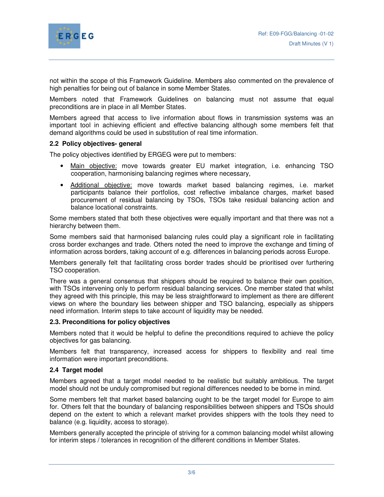

not within the scope of this Framework Guideline. Members also commented on the prevalence of high penalties for being out of balance in some Member States.

Members noted that Framework Guidelines on balancing must not assume that equal preconditions are in place in all Member States.

Members agreed that access to live information about flows in transmission systems was an important tool in achieving efficient and effective balancing although some members felt that demand algorithms could be used in substitution of real time information.

#### **2.2 Policy objectives- general**

The policy objectives identified by ERGEG were put to members:

- Main objective: move towards greater EU market integration, i.e. enhancing TSO cooperation, harmonising balancing regimes where necessary,
- Additional objective: move towards market based balancing regimes, i.e. market participants balance their portfolios, cost reflective imbalance charges, market based procurement of residual balancing by TSOs, TSOs take residual balancing action and balance locational constraints.

Some members stated that both these objectives were equally important and that there was not a hierarchy between them.

Some members said that harmonised balancing rules could play a significant role in facilitating cross border exchanges and trade. Others noted the need to improve the exchange and timing of information across borders, taking account of e.g. differences in balancing periods across Europe.

Members generally felt that facilitating cross border trades should be prioritised over furthering TSO cooperation.

There was a general consensus that shippers should be required to balance their own position, with TSOs intervening only to perform residual balancing services. One member stated that whilst they agreed with this principle, this may be less straightforward to implement as there are different views on where the boundary lies between shipper and TSO balancing, especially as shippers need information. Interim steps to take account of liquidity may be needed.

#### **2.3. Preconditions for policy objectives**

Members noted that it would be helpful to define the preconditions required to achieve the policy objectives for gas balancing.

Members felt that transparency, increased access for shippers to flexibility and real time information were important preconditions.

#### **2.4 Target model**

Members agreed that a target model needed to be realistic but suitably ambitious. The target model should not be unduly compromised but regional differences needed to be borne in mind.

Some members felt that market based balancing ought to be the target model for Europe to aim for. Others felt that the boundary of balancing responsibilities between shippers and TSOs should depend on the extent to which a relevant market provides shippers with the tools they need to balance (e.g. liquidity, access to storage).

Members generally accepted the principle of striving for a common balancing model whilst allowing for interim steps / tolerances in recognition of the different conditions in Member States.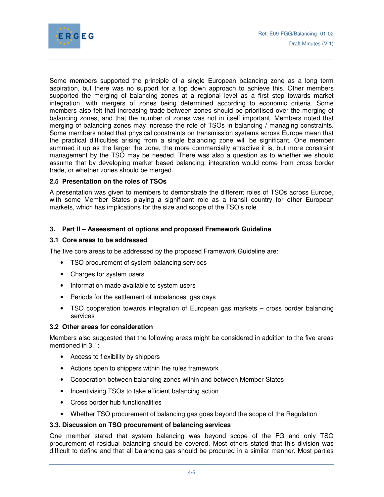

Some members supported the principle of a single European balancing zone as a long term aspiration, but there was no support for a top down approach to achieve this. Other members supported the merging of balancing zones at a regional level as a first step towards market integration, with mergers of zones being determined according to economic criteria. Some members also felt that increasing trade between zones should be prioritised over the merging of balancing zones, and that the number of zones was not in itself important. Members noted that merging of balancing zones may increase the role of TSOs in balancing / managing constraints. Some members noted that physical constraints on transmission systems across Europe mean that the practical difficulties arising from a single balancing zone will be significant. One member summed it up as the larger the zone, the more commercially attractive it is, but more constraint management by the TSO may be needed. There was also a question as to whether we should assume that by developing market based balancing, integration would come from cross border trade, or whether zones should be merged.

## **2.5 Presentation on the roles of TSOs**

A presentation was given to members to demonstrate the different roles of TSOs across Europe, with some Member States playing a significant role as a transit country for other European markets, which has implications for the size and scope of the TSO's role.

## **3. Part II – Assessment of options and proposed Framework Guideline**

## **3.1 Core areas to be addressed**

The five core areas to be addressed by the proposed Framework Guideline are:

- TSO procurement of system balancing services
- Charges for system users
- Information made available to system users
- Periods for the settlement of imbalances, gas days
- TSO cooperation towards integration of European gas markets cross border balancing services

## **3.2 Other areas for consideration**

Members also suggested that the following areas might be considered in addition to the five areas mentioned in 3.1:

- Access to flexibility by shippers
- Actions open to shippers within the rules framework
- Cooperation between balancing zones within and between Member States
- Incentivising TSOs to take efficient balancing action
- Cross border hub functionalities
- Whether TSO procurement of balancing gas goes beyond the scope of the Regulation

## **3.3. Discussion on TSO procurement of balancing services**

One member stated that system balancing was beyond scope of the FG and only TSO procurement of residual balancing should be covered. Most others stated that this division was difficult to define and that all balancing gas should be procured in a similar manner. Most parties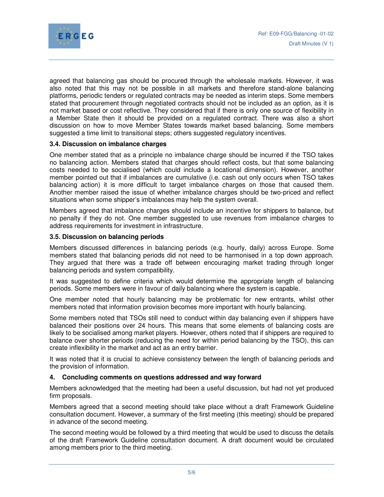

agreed that balancing gas should be procured through the wholesale markets. However, it was also noted that this may not be possible in all markets and therefore stand-alone balancing platforms, periodic tenders or regulated contracts may be needed as interim steps. Some members stated that procurement through negotiated contracts should not be included as an option, as it is not market based or cost reflective. They considered that if there is only one source of flexibility in a Member State then it should be provided on a regulated contract. There was also a short discussion on how to move Member States towards market based balancing. Some members suggested a time limit to transitional steps; others suggested regulatory incentives.

## **3.4. Discussion on imbalance charges**

One member stated that as a principle no imbalance charge should be incurred if the TSO takes no balancing action. Members stated that charges should reflect costs, but that some balancing costs needed to be socialised (which could include a locational dimension). However, another member pointed out that if imbalances are cumulative (i.e. cash out only occurs when TSO takes balancing action) it is more difficult to target imbalance charges on those that caused them. Another member raised the issue of whether imbalance charges should be two-priced and reflect situations when some shipper's imbalances may help the system overall.

Members agreed that imbalance charges should include an incentive for shippers to balance, but no penalty if they do not. One member suggested to use revenues from imbalance charges to address requirements for investment in infrastructure.

#### **3.5. Discussion on balancing periods**

Members discussed differences in balancing periods (e.g. hourly, daily) across Europe. Some members stated that balancing periods did not need to be harmonised in a top down approach. They argued that there was a trade off between encouraging market trading through longer balancing periods and system compatibility.

It was suggested to define criteria which would determine the appropriate length of balancing periods. Some members were in favour of daily balancing where the system is capable.

One member noted that hourly balancing may be problematic for new entrants, whilst other members noted that information provision becomes more important with hourly balancing.

Some members noted that TSOs still need to conduct within day balancing even if shippers have balanced their positions over 24 hours. This means that some elements of balancing costs are likely to be socialised among market players. However, others noted that if shippers are required to balance over shorter periods (reducing the need for within period balancing by the TSO), this can create inflexibility in the market and act as an entry barrier.

It was noted that it is crucial to achieve consistency between the length of balancing periods and the provision of information.

#### **4. Concluding comments on questions addressed and way forward**

Members acknowledged that the meeting had been a useful discussion, but had not yet produced firm proposals.

Members agreed that a second meeting should take place without a draft Framework Guideline consultation document. However, a summary of the first meeting (this meeting) should be prepared in advance of the second meeting.

The second meeting would be followed by a third meeting that would be used to discuss the details of the draft Framework Guideline consultation document. A draft document would be circulated among members prior to the third meeting.